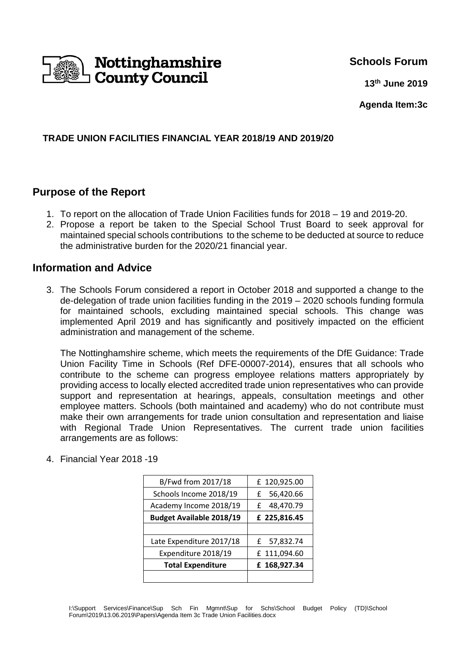

## **Schools Forum**

**13th June 2019**

**Agenda Item:3c**

#### **TRADE UNION FACILITIES FINANCIAL YEAR 2018/19 AND 2019/20**

## **Purpose of the Report**

- 1. To report on the allocation of Trade Union Facilities funds for 2018 19 and 2019-20.
- 2. Propose a report be taken to the Special School Trust Board to seek approval for maintained special schools contributions to the scheme to be deducted at source to reduce the administrative burden for the 2020/21 financial year.

## **Information and Advice**

3. The Schools Forum considered a report in October 2018 and supported a change to the de-delegation of trade union facilities funding in the 2019 – 2020 schools funding formula for maintained schools, excluding maintained special schools. This change was implemented April 2019 and has significantly and positively impacted on the efficient administration and management of the scheme.

The Nottinghamshire scheme, which meets the requirements of the DfE Guidance: Trade Union Facility Time in Schools (Ref DFE-00007-2014), ensures that all schools who contribute to the scheme can progress employee relations matters appropriately by providing access to locally elected accredited trade union representatives who can provide support and representation at hearings, appeals, consultation meetings and other employee matters. Schools (both maintained and academy) who do not contribute must make their own arrangements for trade union consultation and representation and liaise with Regional Trade Union Representatives. The current trade union facilities arrangements are as follows:

| B/Fwd from 2017/18              | £ 120,925.00   |
|---------------------------------|----------------|
| Schools Income 2018/19          | 56,420.66<br>£ |
| Academy Income 2018/19          | 48,470.79<br>£ |
| <b>Budget Available 2018/19</b> | £ 225,816.45   |
|                                 |                |
| Late Expenditure 2017/18        | £ 57,832.74    |
| Expenditure 2018/19             | £ 111,094.60   |
| <b>Total Expenditure</b>        | £ 168,927.34   |
|                                 |                |

4. Financial Year 2018 -19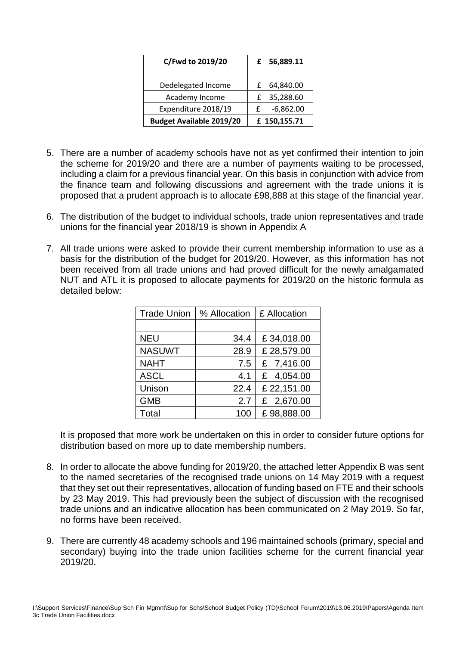| C/Fwd to 2019/20                | £ 56,889.11  |
|---------------------------------|--------------|
|                                 |              |
| Dedelegated Income              | £ 64,840.00  |
| Academy Income                  | £ 35,288.60  |
| Expenditure 2018/19             | $-6,862.00$  |
| <b>Budget Available 2019/20</b> | £ 150,155.71 |

- 5. There are a number of academy schools have not as yet confirmed their intention to join the scheme for 2019/20 and there are a number of payments waiting to be processed, including a claim for a previous financial year. On this basis in conjunction with advice from the finance team and following discussions and agreement with the trade unions it is proposed that a prudent approach is to allocate £98,888 at this stage of the financial year.
- 6. The distribution of the budget to individual schools, trade union representatives and trade unions for the financial year 2018/19 is shown in Appendix A
- 7. All trade unions were asked to provide their current membership information to use as a basis for the distribution of the budget for 2019/20. However, as this information has not been received from all trade unions and had proved difficult for the newly amalgamated NUT and ATL it is proposed to allocate payments for 2019/20 on the historic formula as detailed below:

| <b>Trade Union</b> | % Allocation | £ Allocation |
|--------------------|--------------|--------------|
|                    |              |              |
| <b>NEU</b>         | 34.4         | £34,018.00   |
| <b>NASUWT</b>      | 28.9         | £28,579.00   |
| <b>NAHT</b>        | 7.5          | £ 7,416.00   |
| <b>ASCL</b>        | 4.1          | £ 4,054.00   |
| Unison             | 22.4         | £ 22,151.00  |
| <b>GMB</b>         | 2.7          | £ 2,670.00   |
| Total              | 100          | £98,888.00   |

It is proposed that more work be undertaken on this in order to consider future options for distribution based on more up to date membership numbers.

- 8. In order to allocate the above funding for 2019/20, the attached letter Appendix B was sent to the named secretaries of the recognised trade unions on 14 May 2019 with a request that they set out their representatives, allocation of funding based on FTE and their schools by 23 May 2019. This had previously been the subject of discussion with the recognised trade unions and an indicative allocation has been communicated on 2 May 2019. So far, no forms have been received.
- 9. There are currently 48 academy schools and 196 maintained schools (primary, special and secondary) buying into the trade union facilities scheme for the current financial year 2019/20.